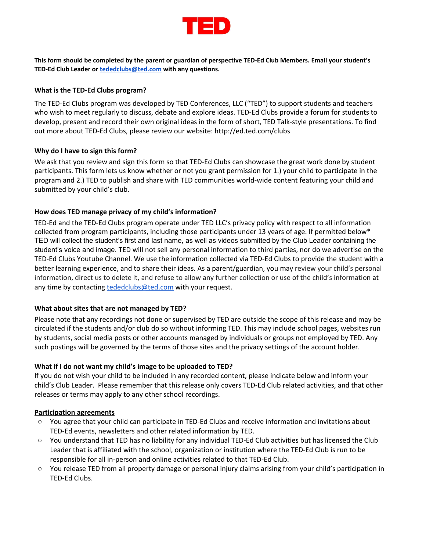

This form should be completed by the parent or guardian of perspective TED-Ed Club Members. Email your student's **TED-Ed Club Leader or [tededclubs@ted.com](mailto:tededclubs@ted.com) with any questions.**

## **What is the TED-Ed Clubs program?**

The TED-Ed Clubs program was developed by TED Conferences, LLC ("TED") to support students and teachers who wish to meet regularly to discuss, debate and explore ideas. TED-Ed Clubs provide a forum for students to develop, present and record their own original ideas in the form of short, TED Talk-style presentations. To find out more about TED-Ed Clubs, please review our website: <http://ed.ted.com/clubs>

### **Why do I have to sign this form?**

We ask that you review and sign this form so that TED-Ed Clubs can showcase the great work done by student participants. This form lets us know whether or not you grant permission for 1.) your child to participate in the program and 2.) TED to publish and share with TED communities world-wide content featuring your child and submitted by your child's club.

# **How does TED manage privacy of my child's information?**

TED-Ed and the TED-Ed Clubs program operate under TED LLC's [privacy](http://www.ted.com/about/our-organization/our-policies-terms/privacy-policy) policy with respect to all information collected from program participants, including those participants under 13 years of age. If permitted below\* TED will collect the student's first and last name, as well as videos submitted by the Club Leader containing the student's voice and image. TED will not sell any personal information to third parties, nor do we advertise on the TED-Ed Clubs Youtube Channel. We use the information collected via TED-Ed Clubs to provide the student with a better learning experience, and to share their ideas. As a parent/guardian, you may review your child's personal information, direct us to delete it, and refuse to allow any further collection or use of the child's information at any time by contacting [tededclubs@ted.com](mailto:tededclubs@ted.com) with your request.

### **What about sites that are not managed by TED?**

Please note that any recordings not done or supervised by TED are outside the scope of this release and may be circulated if the students and/or club do so without informing TED. This may include school pages, websites run by students, social media posts or other accounts managed by individuals or groups not employed by TED. Any such postings will be governed by the terms of those sites and the privacy settings of the account holder.

# **What if I do not want my child's image to be uploaded to TED?**

If you do not wish your child to be included in any recorded content, please indicate below and inform your child's Club Leader. Please remember that this release only covers TED-Ed Club related activities, and that other releases or terms may apply to any other school recordings.

### **Participation agreements**

- You agree that your child can participate in TED-Ed Clubs and receive information and invitations about TED-Ed events, newsletters and other related information by TED.
- You understand that TED has no liability for any individual TED-Ed Club activities but has licensed the Club Leader that is affiliated with the school, organization or institution where the TED-Ed Club is run to be responsible for all in-person and online activities related to that TED-Ed Club.
- You release TED from all property damage or personal injury claims arising from your child's participation in TED-Ed Clubs.